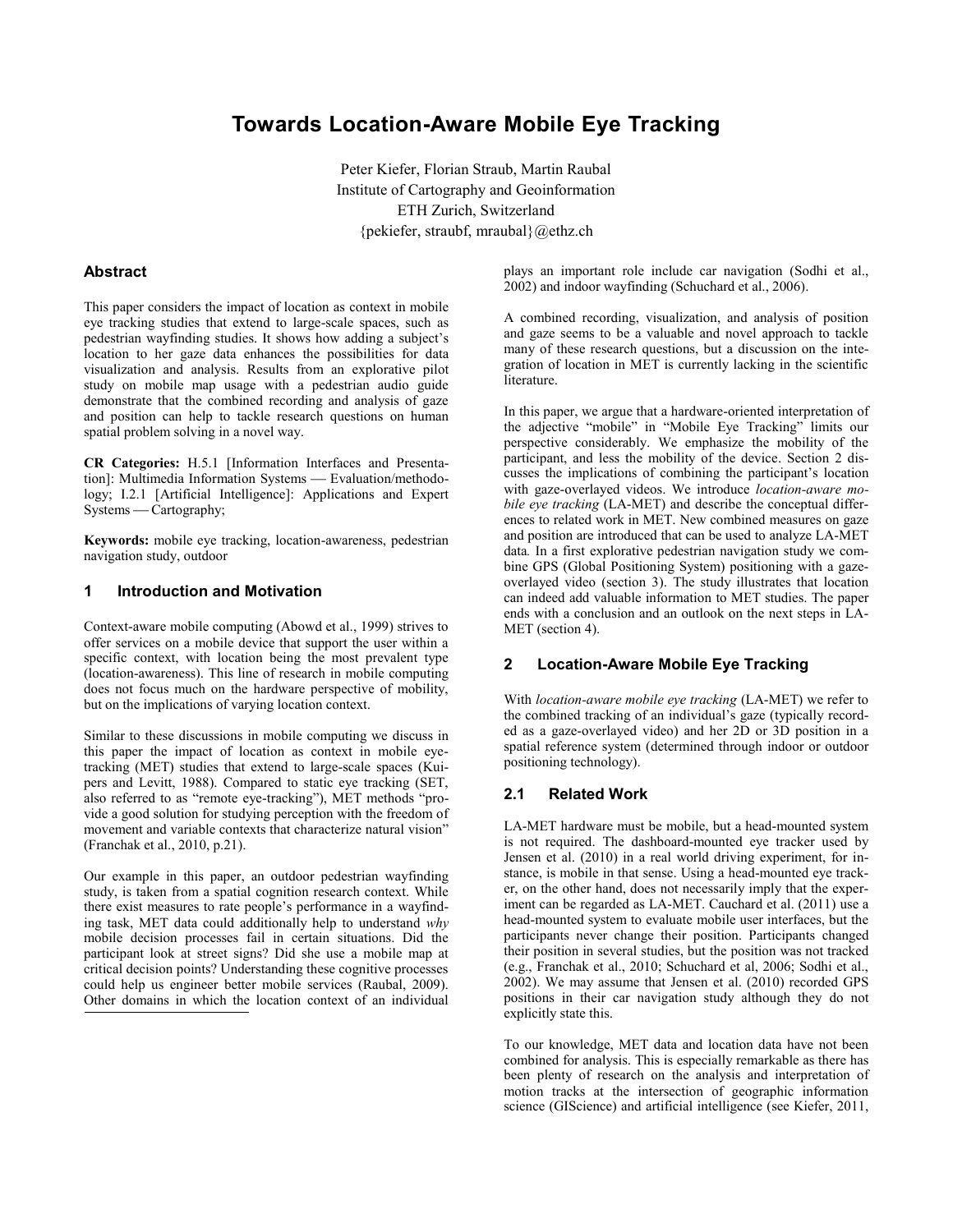# **Towards Location-Aware Mobile Eye Tracking**

Peter Kiefer, Florian Straub, Martin Raubal Institute of Cartography and Geoinformation ETH Zurich, Switzerland {pekiefer, straubf, mraubal}@ethz.ch

## **Abstract**

This paper considers the impact of location as context in mobile eye tracking studies that extend to large-scale spaces, such as pedestrian wayfinding studies. It shows how adding a subject's location to her gaze data enhances the possibilities for data visualization and analysis. Results from an explorative pilot study on mobile map usage with a pedestrian audio guide demonstrate that the combined recording and analysis of gaze and position can help to tackle research questions on human spatial problem solving in a novel way.

**CR Categories:** H.5.1 [Information Interfaces and Presentation]: Multimedia Information Systems - Evaluation/methodology; I.2.1 [Artificial Intelligence]: Applications and Expert Systems — Cartography;

**Keywords:** mobile eye tracking, location-awareness, pedestrian navigation study, outdoor

#### **1 Introduction and Motivation**

Context-aware mobile computing (Abowd et al., 1999) strives to offer services on a mobile device that support the user within a specific context, with location being the most prevalent type (location-awareness). This line of research in mobile computing does not focus much on the hardware perspective of mobility, but on the implications of varying location context.

Similar to these discussions in mobile computing we discuss in this paper the impact of location as context in mobile eyetracking (MET) studies that extend to large-scale spaces (Kuipers and Levitt, 1988). Compared to static eye tracking (SET, also referred to as "remote eye-tracking"), MET methods "provide a good solution for studying perception with the freedom of movement and variable contexts that characterize natural vision" (Franchak et al., 2010, p.21).

Our example in this paper, an outdoor pedestrian wayfinding study, is taken from a spatial cognition research context. While there exist measures to rate people's performance in a wayfinding task, MET data could additionally help to understand *why* mobile decision processes fail in certain situations. Did the participant look at street signs? Did she use a mobile map at critical decision points? Understanding these cognitive processes could help us engineer better mobile services (Raubal, 2009). Other domains in which the location context of an individual

plays an important role include car navigation (Sodhi et al., 2002) and indoor wayfinding (Schuchard et al., 2006).

A combined recording, visualization, and analysis of position and gaze seems to be a valuable and novel approach to tackle many of these research questions, but a discussion on the integration of location in MET is currently lacking in the scientific literature.

In this paper, we argue that a hardware-oriented interpretation of the adjective "mobile" in "Mobile Eye Tracking" limits our perspective considerably. We emphasize the mobility of the participant, and less the mobility of the device. Section 2 discusses the implications of combining the participant's location with gaze-overlayed videos. We introduce *location-aware mobile eye tracking* (LA-MET) and describe the conceptual differences to related work in MET. New combined measures on gaze and position are introduced that can be used to analyze LA-MET data*.* In a first explorative pedestrian navigation study we combine GPS (Global Positioning System) positioning with a gazeoverlayed video (section 3). The study illustrates that location can indeed add valuable information to MET studies. The paper ends with a conclusion and an outlook on the next steps in LA-MET (section 4).

## **2 Location-Aware Mobile Eye Tracking**

With *location-aware mobile eye tracking* (LA-MET) we refer to the combined tracking of an individual's gaze (typically recorded as a gaze-overlayed video) and her 2D or 3D position in a spatial reference system (determined through indoor or outdoor positioning technology).

## **2.1 Related Work**

LA-MET hardware must be mobile, but a head-mounted system is not required. The dashboard-mounted eye tracker used by Jensen et al. (2010) in a real world driving experiment, for instance, is mobile in that sense. Using a head-mounted eye tracker, on the other hand, does not necessarily imply that the experiment can be regarded as LA-MET. Cauchard et al. (2011) use a head-mounted system to evaluate mobile user interfaces, but the participants never change their position. Participants changed their position in several studies, but the position was not tracked (e.g., Franchak et al., 2010; Schuchard et al, 2006; Sodhi et al., 2002). We may assume that Jensen et al. (2010) recorded GPS positions in their car navigation study although they do not explicitly state this.

To our knowledge, MET data and location data have not been combined for analysis. This is especially remarkable as there has been plenty of research on the analysis and interpretation of motion tracks at the intersection of geographic information science (GIScience) and artificial intelligence (see Kiefer, 2011,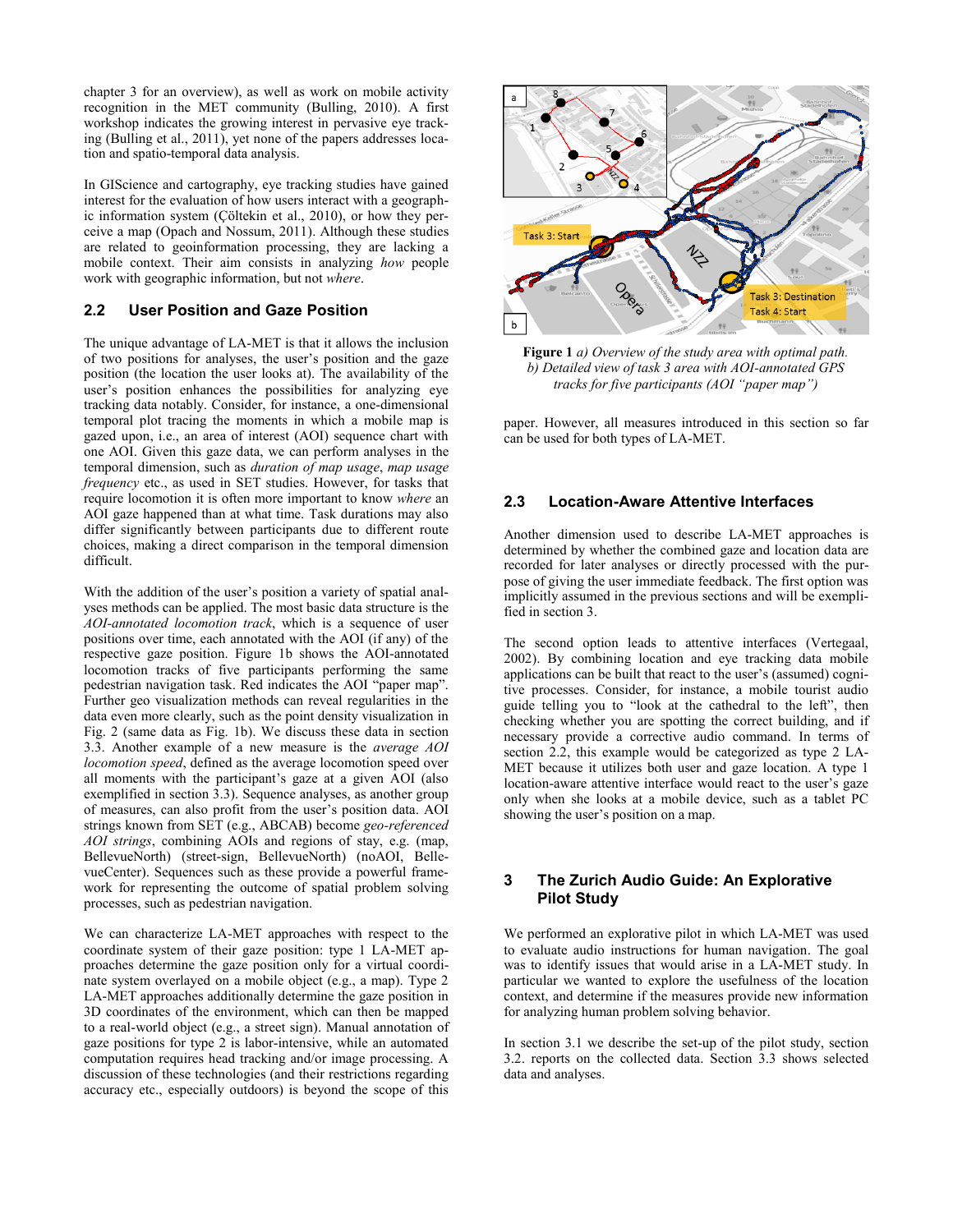chapter 3 for an overview), as well as work on mobile activity recognition in the MET community (Bulling, 2010). A first workshop indicates the growing interest in pervasive eye tracking (Bulling et al., 2011), yet none of the papers addresses location and spatio-temporal data analysis.

In GIScience and cartography, eye tracking studies have gained interest for the evaluation of how users interact with a geographic information system (Çöltekin et al., 2010), or how they perceive a map (Opach and Nossum, 2011). Although these studies are related to geoinformation processing, they are lacking a mobile context. Their aim consists in analyzing *how* people work with geographic information, but not *where*.

## **2.2 User Position and Gaze Position**

The unique advantage of LA-MET is that it allows the inclusion of two positions for analyses, the user's position and the gaze position (the location the user looks at). The availability of the user's position enhances the possibilities for analyzing eye tracking data notably. Consider, for instance, a one-dimensional temporal plot tracing the moments in which a mobile map is gazed upon, i.e., an area of interest (AOI) sequence chart with one AOI. Given this gaze data, we can perform analyses in the temporal dimension, such as *duration of map usage*, *map usage frequency* etc., as used in SET studies. However, for tasks that require locomotion it is often more important to know *where* an AOI gaze happened than at what time. Task durations may also differ significantly between participants due to different route choices, making a direct comparison in the temporal dimension difficult.

With the addition of the user's position a variety of spatial analyses methods can be applied. The most basic data structure is the *AOI-annotated locomotion track*, which is a sequence of user positions over time, each annotated with the AOI (if any) of the respective gaze position. Figure 1b shows the AOI-annotated locomotion tracks of five participants performing the same pedestrian navigation task. Red indicates the AOI "paper map". Further geo visualization methods can reveal regularities in the data even more clearly, such as the point density visualization in Fig. 2 (same data as Fig. 1b). We discuss these data in section 3.3. Another example of a new measure is the *average AOI locomotion speed*, defined as the average locomotion speed over all moments with the participant's gaze at a given AOI (also exemplified in section 3.3). Sequence analyses, as another group of measures, can also profit from the user's position data. AOI strings known from SET (e.g., ABCAB) become *geo-referenced AOI strings*, combining AOIs and regions of stay, e.g. (map, BellevueNorth) (street-sign, BellevueNorth) (noAOI, BellevueCenter). Sequences such as these provide a powerful framework for representing the outcome of spatial problem solving processes, such as pedestrian navigation.

We can characterize LA-MET approaches with respect to the coordinate system of their gaze position: type 1 LA-MET approaches determine the gaze position only for a virtual coordinate system overlayed on a mobile object (e.g., a map). Type 2 LA-MET approaches additionally determine the gaze position in 3D coordinates of the environment, which can then be mapped to a real-world object (e.g., a street sign). Manual annotation of gaze positions for type 2 is labor-intensive, while an automated computation requires head tracking and/or image processing. A discussion of these technologies (and their restrictions regarding accuracy etc., especially outdoors) is beyond the scope of this



**Figure 1** *a) Overview of the study area with optimal path. b) Detailed view of task 3 area with AOI-annotated GPS tracks for five participants (AOI "paper map")*

paper. However, all measures introduced in this section so far can be used for both types of LA-MET.

## **2.3 Location-Aware Attentive Interfaces**

Another dimension used to describe LA-MET approaches is determined by whether the combined gaze and location data are recorded for later analyses or directly processed with the purpose of giving the user immediate feedback. The first option was implicitly assumed in the previous sections and will be exemplified in section 3.

The second option leads to attentive interfaces (Vertegaal, 2002). By combining location and eye tracking data mobile applications can be built that react to the user's (assumed) cognitive processes. Consider, for instance, a mobile tourist audio guide telling you to "look at the cathedral to the left", then checking whether you are spotting the correct building, and if necessary provide a corrective audio command. In terms of section  $2.\overline{2}$ , this example would be categorized as type 2 LA-MET because it utilizes both user and gaze location. A type 1 location-aware attentive interface would react to the user's gaze only when she looks at a mobile device, such as a tablet PC showing the user's position on a map.

## **3 The Zurich Audio Guide: An Explorative Pilot Study**

We performed an explorative pilot in which LA-MET was used to evaluate audio instructions for human navigation. The goal was to identify issues that would arise in a LA-MET study. In particular we wanted to explore the usefulness of the location context, and determine if the measures provide new information for analyzing human problem solving behavior.

In section 3.1 we describe the set-up of the pilot study, section 3.2. reports on the collected data. Section 3.3 shows selected data and analyses.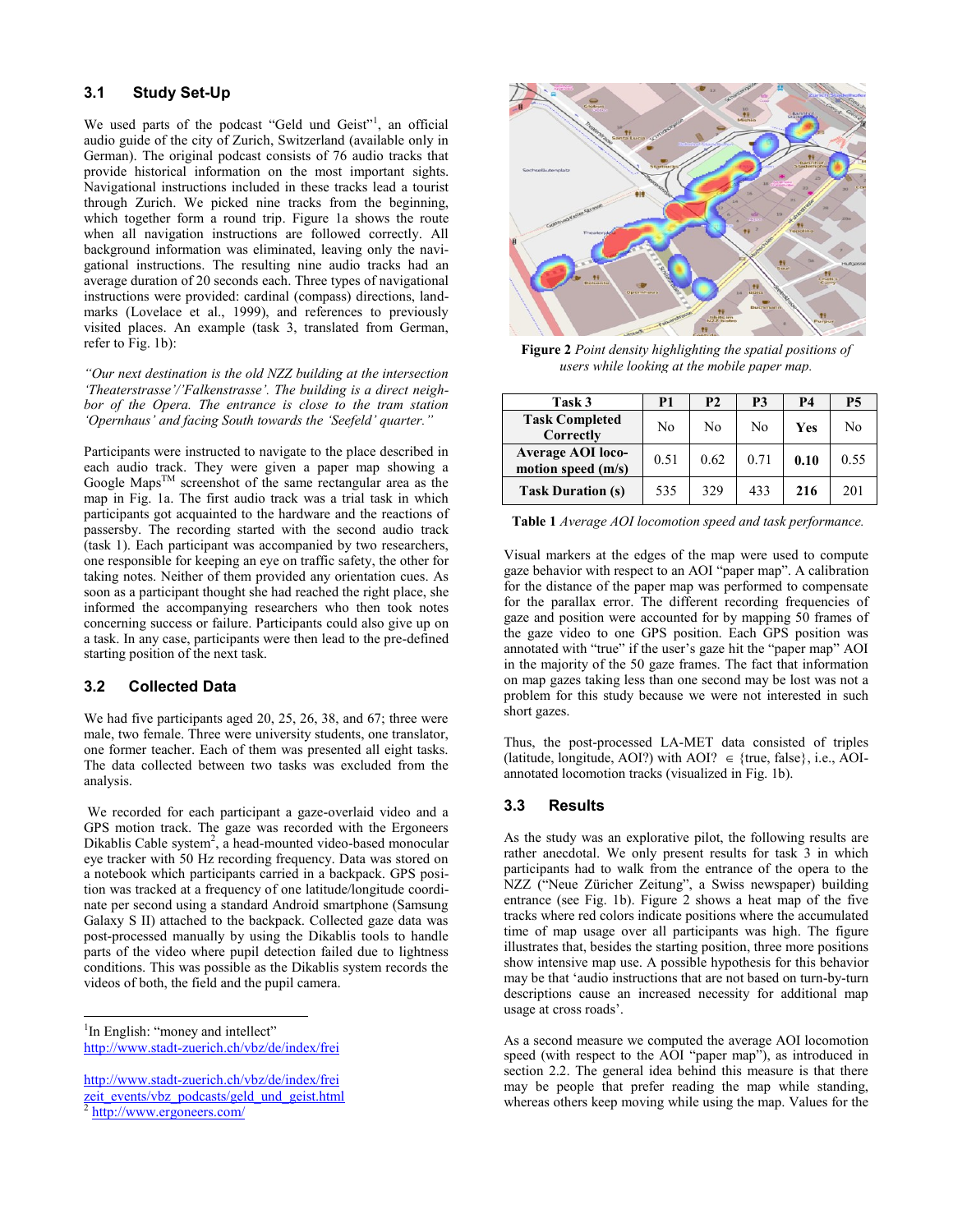## **3.1 Study Set-Up**

We used parts of the podcast "Geld und Geist"<sup>1</sup>, an official audio guide of the city of Zurich, Switzerland (available only in German). The original podcast consists of 76 audio tracks that provide historical information on the most important sights. Navigational instructions included in these tracks lead a tourist through Zurich. We picked nine tracks from the beginning, which together form a round trip. Figure 1a shows the route when all navigation instructions are followed correctly. All background information was eliminated, leaving only the navigational instructions. The resulting nine audio tracks had an average duration of 20 seconds each. Three types of navigational instructions were provided: cardinal (compass) directions, landmarks (Lovelace et al., 1999), and references to previously visited places. An example (task 3, translated from German, refer to Fig. 1b):

*"Our next destination is the old NZZ building at the intersection 'Theaterstrasse'/'Falkenstrasse'. The building is a direct neighbor of the Opera. The entrance is close to the tram station 'Opernhaus' and facing South towards the 'Seefeld' quarter."*

Participants were instructed to navigate to the place described in each audio track. They were given a paper map showing a Google Maps<sup>TM</sup> screenshot of the same rectangular area as the map in Fig. 1a. The first audio track was a trial task in which participants got acquainted to the hardware and the reactions of passersby. The recording started with the second audio track (task 1). Each participant was accompanied by two researchers, one responsible for keeping an eye on traffic safety, the other for taking notes. Neither of them provided any orientation cues. As soon as a participant thought she had reached the right place, she informed the accompanying researchers who then took notes concerning success or failure. Participants could also give up on a task. In any case, participants were then lead to the pre-defined starting position of the next task.

## **3.2 Collected Data**

We had five participants aged 20, 25, 26, 38, and 67; three were male, two female. Three were university students, one translator, one former teacher. Each of them was presented all eight tasks. The data collected between two tasks was excluded from the analysis.

We recorded for each participant a gaze-overlaid video and a GPS motion track. The gaze was recorded with the Ergoneers Dikablis Cable system<sup>2</sup>, a head-mounted video-based monocular eye tracker with 50 Hz recording frequency. Data was stored on a notebook which participants carried in a backpack. GPS position was tracked at a frequency of one latitude/longitude coordinate per second using a standard Android smartphone (Samsung Galaxy S II) attached to the backpack. Collected gaze data was post-processed manually by using the Dikablis tools to handle parts of the video where pupil detection failed due to lightness conditions. This was possible as the Dikablis system records the videos of both, the field and the pupil camera.

2 [http://www.ergoneers.com/](http://www.ergoneers.com/en/products/dlab-dikablis/overview.html)

l



**Figure 2** *Point density highlighting the spatial positions of users while looking at the mobile paper map.*

| Task 3                                         | P1   | P <sub>2</sub> | P3   | P4   | P5   |
|------------------------------------------------|------|----------------|------|------|------|
| <b>Task Completed</b><br>Correctly             | No   | Nο             | No   | Yes  | Nο   |
| <b>Average AOI loco-</b><br>motion speed (m/s) | 0.51 | 0.62           | 0.71 | 0.10 | 0.55 |
| <b>Task Duration (s)</b>                       | 535  | 329            | 433  | 216  | 201  |

**Table 1** *Average AOI locomotion speed and task performance.*

Visual markers at the edges of the map were used to compute gaze behavior with respect to an AOI "paper map". A calibration for the distance of the paper map was performed to compensate for the parallax error. The different recording frequencies of gaze and position were accounted for by mapping  $50$  frames of the gaze video to one GPS position. Each GPS position was annotated with "true" if the user's gaze hit the "paper map" AOI in the majority of the 50 gaze frames. The fact that information on map gazes taking less than one second may be lost was not a problem for this study because we were not interested in such short gazes.

Thus, the post-processed LA-MET data consisted of triples (latitude, longitude, AOI?) with AOI?  $\in$  {true, false}, i.e., AOIannotated locomotion tracks (visualized in Fig. 1b).

## **3.3 Results**

As the study was an explorative pilot, the following results are rather anecdotal. We only present results for task 3 in which participants had to walk from the entrance of the opera to the NZZ ("Neue Züricher Zeitung", a Swiss newspaper) building entrance (see Fig. 1b). Figure 2 shows a heat map of the five tracks where red colors indicate positions where the accumulated time of map usage over all participants was high. The figure illustrates that, besides the starting position, three more positions show intensive map use. A possible hypothesis for this behavior may be that 'audio instructions that are not based on turn-by-turn descriptions cause an increased necessity for additional map usage at cross roads'.

As a second measure we computed the average AOI locomotion speed (with respect to the AOI "paper map"), as introduced in section 2.2. The general idea behind this measure is that there may be people that prefer reading the map while standing, whereas others keep moving while using the map. Values for the

<sup>&</sup>lt;sup>1</sup>In English: "money and intellect" http://www.stadt-zuerich.ch/vbz/de/index/frei

[http://www.stadt-zuerich.ch/vbz/de/index/frei](http://www.stadt-zuerich.ch/vbz/de/index/frei%20zeit_events/vbz_podcasts/geld_und_geist.html)  [zeit\\_events/vbz\\_podcasts/geld\\_und\\_geist.html](http://www.stadt-zuerich.ch/vbz/de/index/frei%20zeit_events/vbz_podcasts/geld_und_geist.html)